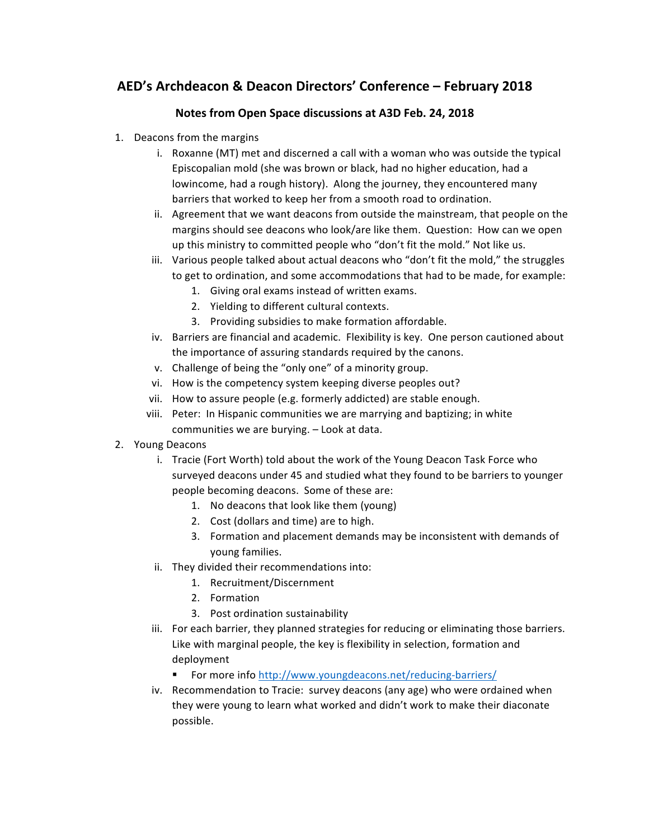## **AED's Archdeacon & Deacon Directors' Conference – February 2018**

## Notes from Open Space discussions at A3D Feb. 24, 2018

- 1. Deacons from the margins
	- i. Roxanne (MT) met and discerned a call with a woman who was outside the typical Episcopalian mold (she was brown or black, had no higher education, had a lowincome, had a rough history). Along the journey, they encountered many barriers that worked to keep her from a smooth road to ordination.
	- ii. Agreement that we want deacons from outside the mainstream, that people on the margins should see deacons who look/are like them. Question: How can we open up this ministry to committed people who "don't fit the mold." Not like us.
	- iii. Various people talked about actual deacons who "don't fit the mold," the struggles to get to ordination, and some accommodations that had to be made, for example:
		- 1. Giving oral exams instead of written exams.
		- 2. Yielding to different cultural contexts.
		- 3. Providing subsidies to make formation affordable.
	- iv. Barriers are financial and academic. Flexibility is key. One person cautioned about the importance of assuring standards required by the canons.
	- v. Challenge of being the "only one" of a minority group.
	- vi. How is the competency system keeping diverse peoples out?
	- vii. How to assure people (e.g. formerly addicted) are stable enough.
	- viii. Peter: In Hispanic communities we are marrying and baptizing; in white communities we are burying. - Look at data.
- 2. Young Deacons
	- i. Tracie (Fort Worth) told about the work of the Young Deacon Task Force who surveyed deacons under 45 and studied what they found to be barriers to younger people becoming deacons. Some of these are:
		- 1. No deacons that look like them (young)
		- 2. Cost (dollars and time) are to high.
		- 3. Formation and placement demands may be inconsistent with demands of young families.
	- ii. They divided their recommendations into:
		- 1. Recruitment/Discernment
		- 2. Formation
		- 3. Post ordination sustainability
	- iii. For each barrier, they planned strategies for reducing or eliminating those barriers. Like with marginal people, the key is flexibility in selection, formation and deployment
		- For more info http://www.youngdeacons.net/reducing-barriers/
	- iv. Recommendation to Tracie: survey deacons (any age) who were ordained when they were young to learn what worked and didn't work to make their diaconate possible.